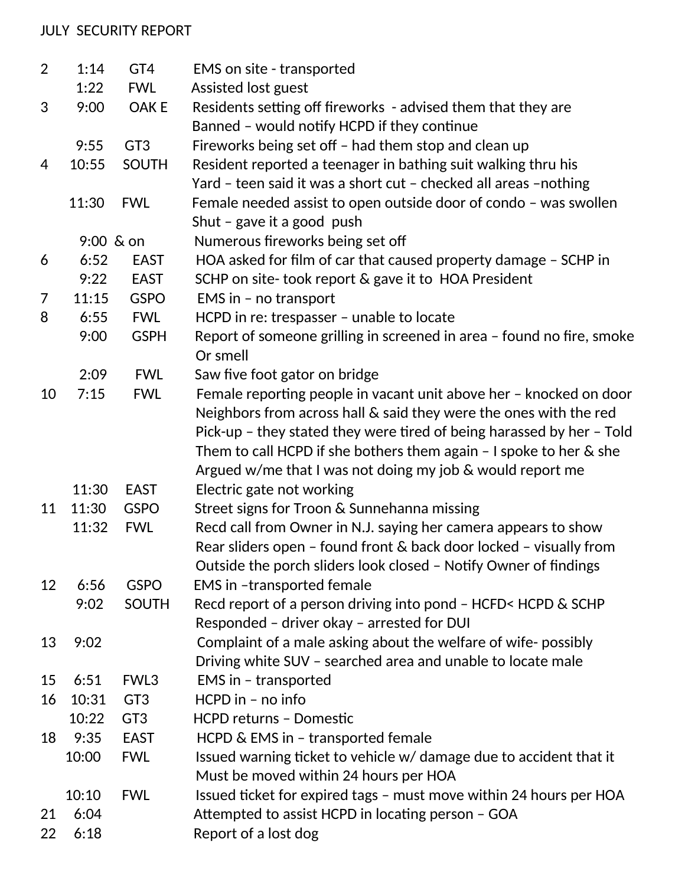## JULY SECURITY REPORT

| $\overline{2}$ | 1:14      | GT4             | EMS on site - transported                                              |
|----------------|-----------|-----------------|------------------------------------------------------------------------|
|                | 1:22      | <b>FWL</b>      | Assisted lost guest                                                    |
| 3              | 9:00      | OAK E           | Residents setting off fireworks - advised them that they are           |
|                |           |                 | Banned - would notify HCPD if they continue                            |
|                | 9:55      | GT <sub>3</sub> | Fireworks being set off - had them stop and clean up                   |
| 4              | 10:55     | <b>SOUTH</b>    | Resident reported a teenager in bathing suit walking thru his          |
|                |           |                 | Yard - teen said it was a short cut - checked all areas -nothing       |
|                | 11:30     | <b>FWL</b>      | Female needed assist to open outside door of condo - was swollen       |
|                |           |                 | Shut - gave it a good push                                             |
|                | 9:00 & on |                 | Numerous fireworks being set off                                       |
| 6              | 6:52      | <b>EAST</b>     | HOA asked for film of car that caused property damage - SCHP in        |
|                | 9:22      | <b>EAST</b>     | SCHP on site-took report & gave it to HOA President                    |
| 7              | 11:15     | <b>GSPO</b>     | EMS in - no transport                                                  |
| 8              | 6:55      | <b>FWL</b>      | HCPD in re: trespasser - unable to locate                              |
|                | 9:00      | <b>GSPH</b>     | Report of someone grilling in screened in area - found no fire, smoke  |
|                |           |                 | Or smell                                                               |
|                | 2:09      | <b>FWL</b>      | Saw five foot gator on bridge                                          |
| 10             | 7:15      | <b>FWL</b>      | Female reporting people in vacant unit above her - knocked on door     |
|                |           |                 | Neighbors from across hall & said they were the ones with the red      |
|                |           |                 | Pick-up - they stated they were tired of being harassed by her - Told  |
|                |           |                 | Them to call HCPD if she bothers them again $-1$ spoke to her $\&$ she |
|                |           |                 | Argued w/me that I was not doing my job $\&$ would report me           |
|                | 11:30     | <b>EAST</b>     | Electric gate not working                                              |
| 11             | 11:30     | <b>GSPO</b>     | Street signs for Troon & Sunnehanna missing                            |
|                | 11:32     | <b>FWL</b>      | Recd call from Owner in N.J. saying her camera appears to show         |
|                |           |                 | Rear sliders open - found front & back door locked - visually from     |
|                |           |                 | Outside the porch sliders look closed - Notify Owner of findings       |
| 12             | 6:56      | <b>GSPO</b>     | <b>EMS in -transported female</b>                                      |
|                | 9:02      | <b>SOUTH</b>    | Recd report of a person driving into pond - HCFD< HCPD & SCHP          |
|                |           |                 | Responded - driver okay - arrested for DUI                             |
| 13             | 9:02      |                 | Complaint of a male asking about the welfare of wife-possibly          |
|                |           |                 | Driving white SUV - searched area and unable to locate male            |
| 15             | 6:51      | FWL3            | EMS in - transported                                                   |
| 16             | 10:31     | GT <sub>3</sub> | $HCPD$ in - no info                                                    |
|                | 10:22     | GT <sub>3</sub> | <b>HCPD returns - Domestic</b>                                         |
| 18             | 9:35      | <b>EAST</b>     | HCPD & EMS in - transported female                                     |
|                | 10:00     | <b>FWL</b>      | Issued warning ticket to vehicle w/ damage due to accident that it     |
|                |           |                 | Must be moved within 24 hours per HOA                                  |
|                | 10:10     | <b>FWL</b>      | Issued ticket for expired tags - must move within 24 hours per HOA     |
| 21             | 6:04      |                 | Attempted to assist HCPD in locating person - GOA                      |
| 22             | 6:18      |                 | Report of a lost dog                                                   |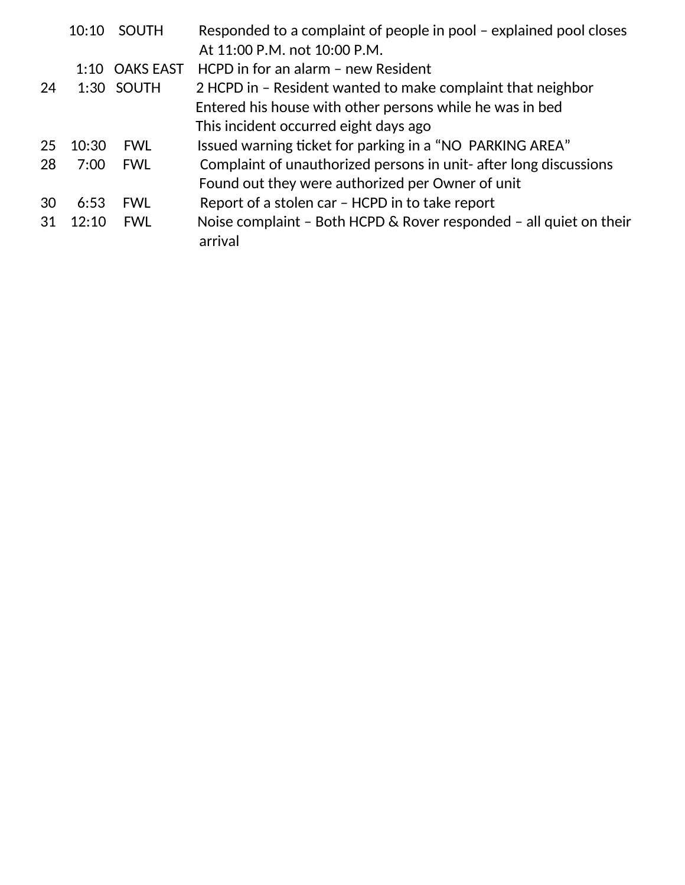|     | 10:10 | SOUTH            | Responded to a complaint of people in pool – explained pool closes<br>At 11:00 P.M. not 10:00 P.M. |
|-----|-------|------------------|----------------------------------------------------------------------------------------------------|
|     | 1:10  | <b>OAKS EAST</b> | HCPD in for an alarm - new Resident                                                                |
| 24  |       | 1:30 SOUTH       | 2 HCPD in - Resident wanted to make complaint that neighbor                                        |
|     |       |                  | Entered his house with other persons while he was in bed                                           |
|     |       |                  | This incident occurred eight days ago                                                              |
| 25  | 10:30 | <b>FWL</b>       | Issued warning ticket for parking in a "NO PARKING AREA"                                           |
| 28  | 7:00  | <b>FWL</b>       | Complaint of unauthorized persons in unit- after long discussions                                  |
|     |       |                  | Found out they were authorized per Owner of unit                                                   |
| 30  | 6:53  | <b>FWL</b>       | Report of a stolen car - HCPD in to take report                                                    |
| -31 | 12.10 | <b>FWL</b>       | Noise complaint - Both HCPD & Rover responded - all quiet on their<br>arrival                      |